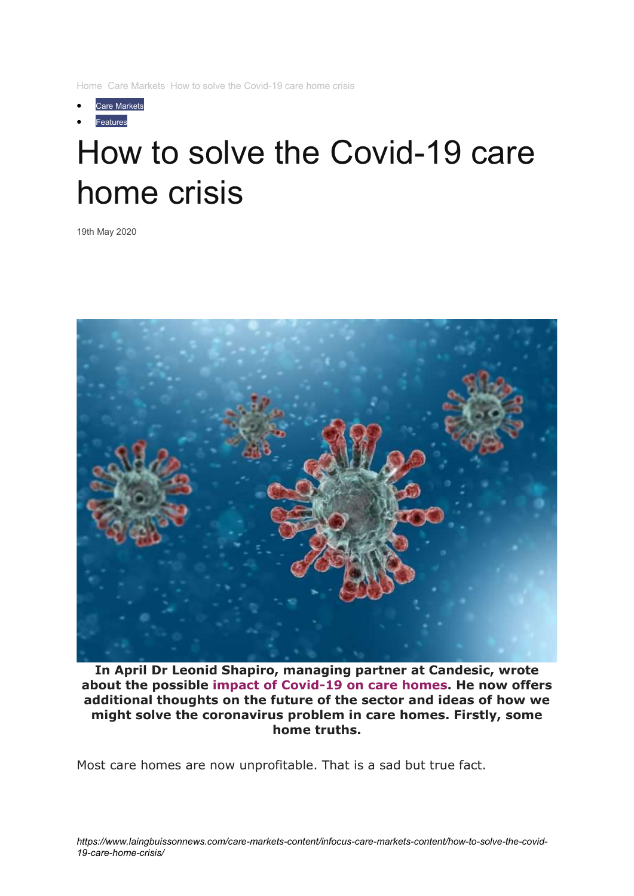Home Care Markets How to solve the Covid-19 care home crisis

- Care Markets
- Features

# How to solve the Covid-19 care home crisis

19th May 2020



In April Dr Leonid Shapiro, managing partner at Candesic, wrote about the possible impact of Covid-19 on care homes. He now offers additional thoughts on the future of the sector and ideas of how we might solve the coronavirus problem in care homes. Firstly, some home truths.

Most care homes are now unprofitable. That is a sad but true fact.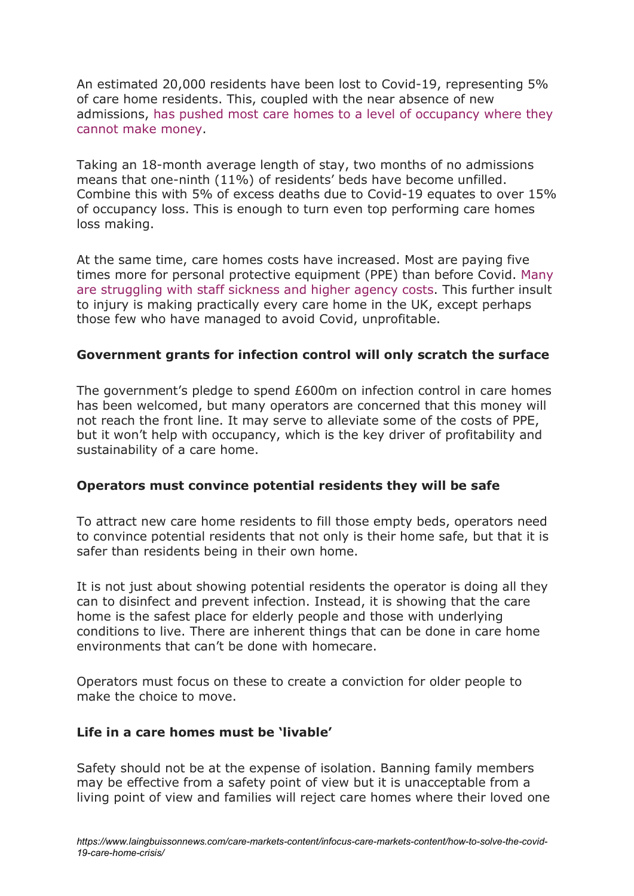An estimated 20,000 residents have been lost to Covid-19, representing 5% of care home residents. This, coupled with the near absence of new admissions, has pushed most care homes to a level of occupancy where they cannot make money.

Taking an 18-month average length of stay, two months of no admissions means that one-ninth (11%) of residents' beds have become unfilled. Combine this with 5% of excess deaths due to Covid-19 equates to over 15% of occupancy loss. This is enough to turn even top performing care homes loss making.

At the same time, care homes costs have increased. Most are paying five times more for personal protective equipment (PPE) than before Covid. Many are struggling with staff sickness and higher agency costs. This further insult to injury is making practically every care home in the UK, except perhaps those few who have managed to avoid Covid, unprofitable.

### Government grants for infection control will only scratch the surface

The government's pledge to spend £600m on infection control in care homes has been welcomed, but many operators are concerned that this money will not reach the front line. It may serve to alleviate some of the costs of PPE, but it won't help with occupancy, which is the key driver of profitability and sustainability of a care home.

### Operators must convince potential residents they will be safe

To attract new care home residents to fill those empty beds, operators need to convince potential residents that not only is their home safe, but that it is safer than residents being in their own home.

It is not just about showing potential residents the operator is doing all they can to disinfect and prevent infection. Instead, it is showing that the care home is the safest place for elderly people and those with underlying conditions to live. There are inherent things that can be done in care home environments that can't be done with homecare.

Operators must focus on these to create a conviction for older people to make the choice to move.

### Life in a care homes must be 'livable'

Safety should not be at the expense of isolation. Banning family members may be effective from a safety point of view but it is unacceptable from a living point of view and families will reject care homes where their loved one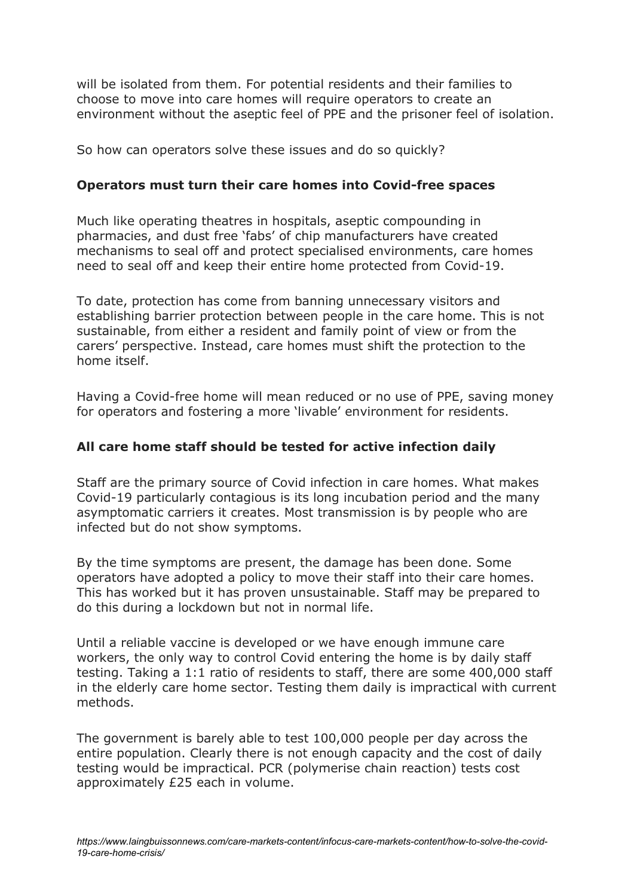will be isolated from them. For potential residents and their families to choose to move into care homes will require operators to create an environment without the aseptic feel of PPE and the prisoner feel of isolation.

So how can operators solve these issues and do so quickly?

## Operators must turn their care homes into Covid-free spaces

Much like operating theatres in hospitals, aseptic compounding in pharmacies, and dust free 'fabs' of chip manufacturers have created mechanisms to seal off and protect specialised environments, care homes need to seal off and keep their entire home protected from Covid-19.

To date, protection has come from banning unnecessary visitors and establishing barrier protection between people in the care home. This is not sustainable, from either a resident and family point of view or from the carers' perspective. Instead, care homes must shift the protection to the home itself.

Having a Covid-free home will mean reduced or no use of PPE, saving money for operators and fostering a more 'livable' environment for residents.

# All care home staff should be tested for active infection daily

Staff are the primary source of Covid infection in care homes. What makes Covid-19 particularly contagious is its long incubation period and the many asymptomatic carriers it creates. Most transmission is by people who are infected but do not show symptoms.

By the time symptoms are present, the damage has been done. Some operators have adopted a policy to move their staff into their care homes. This has worked but it has proven unsustainable. Staff may be prepared to do this during a lockdown but not in normal life.

Until a reliable vaccine is developed or we have enough immune care workers, the only way to control Covid entering the home is by daily staff testing. Taking a 1:1 ratio of residents to staff, there are some 400,000 staff in the elderly care home sector. Testing them daily is impractical with current methods.

The government is barely able to test 100,000 people per day across the entire population. Clearly there is not enough capacity and the cost of daily testing would be impractical. PCR (polymerise chain reaction) tests cost approximately £25 each in volume.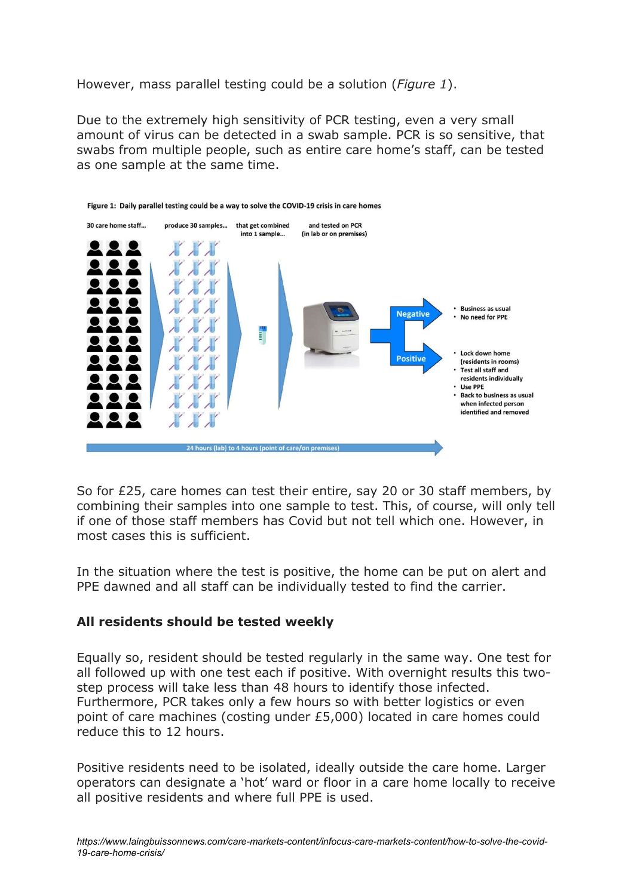However, mass parallel testing could be a solution (*Figure 1*).

Due to the extremely high sensitivity of PCR testing, even a very small amount of virus can be detected in a swab sample. PCR is so sensitive, that swabs from multiple people, such as entire care home's staff, can be tested as one sample at the same time.



So for £25, care homes can test their entire, say 20 or 30 staff members, by combining their samples into one sample to test. This, of course, will only tell if one of those staff members has Covid but not tell which one. However, in most cases this is sufficient.

In the situation where the test is positive, the home can be put on alert and PPE dawned and all staff can be individually tested to find the carrier.

### All residents should be tested weekly

Equally so, resident should be tested regularly in the same way. One test for all followed up with one test each if positive. With overnight results this twostep process will take less than 48 hours to identify those infected. Furthermore, PCR takes only a few hours so with better logistics or even point of care machines (costing under £5,000) located in care homes could reduce this to 12 hours.

Positive residents need to be isolated, ideally outside the care home. Larger operators can designate a 'hot' ward or floor in a care home locally to receive all positive residents and where full PPE is used.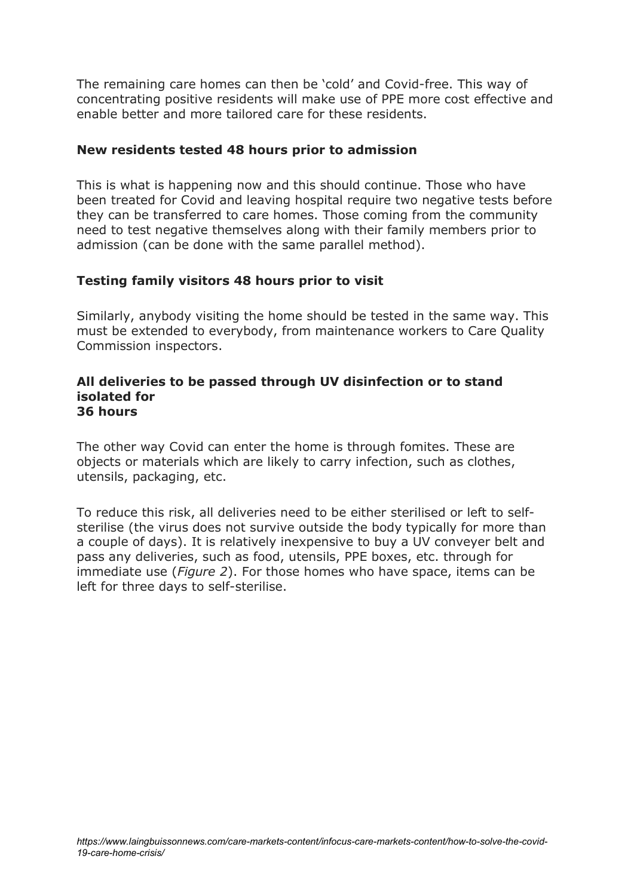The remaining care homes can then be 'cold' and Covid-free. This way of concentrating positive residents will make use of PPE more cost effective and enable better and more tailored care for these residents.

#### New residents tested 48 hours prior to admission

This is what is happening now and this should continue. Those who have been treated for Covid and leaving hospital require two negative tests before they can be transferred to care homes. Those coming from the community need to test negative themselves along with their family members prior to admission (can be done with the same parallel method).

#### Testing family visitors 48 hours prior to visit

Similarly, anybody visiting the home should be tested in the same way. This must be extended to everybody, from maintenance workers to Care Quality Commission inspectors.

#### All deliveries to be passed through UV disinfection or to stand isolated for 36 hours

The other way Covid can enter the home is through fomites. These are objects or materials which are likely to carry infection, such as clothes, utensils, packaging, etc.

To reduce this risk, all deliveries need to be either sterilised or left to selfsterilise (the virus does not survive outside the body typically for more than a couple of days). It is relatively inexpensive to buy a UV conveyer belt and pass any deliveries, such as food, utensils, PPE boxes, etc. through for immediate use (Figure 2). For those homes who have space, items can be left for three days to self-sterilise.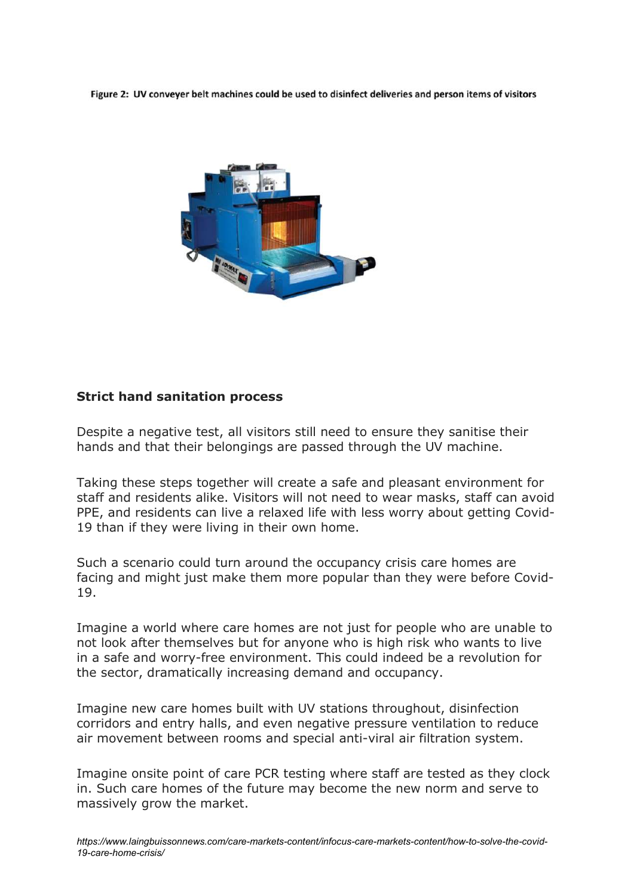Figure 2: UV conveyer belt machines could be used to disinfect deliveries and person items of visitors



### Strict hand sanitation process

Despite a negative test, all visitors still need to ensure they sanitise their hands and that their belongings are passed through the UV machine.

Taking these steps together will create a safe and pleasant environment for staff and residents alike. Visitors will not need to wear masks, staff can avoid PPE, and residents can live a relaxed life with less worry about getting Covid-19 than if they were living in their own home.

Such a scenario could turn around the occupancy crisis care homes are facing and might just make them more popular than they were before Covid-19.

Imagine a world where care homes are not just for people who are unable to not look after themselves but for anyone who is high risk who wants to live in a safe and worry-free environment. This could indeed be a revolution for the sector, dramatically increasing demand and occupancy.

Imagine new care homes built with UV stations throughout, disinfection corridors and entry halls, and even negative pressure ventilation to reduce air movement between rooms and special anti-viral air filtration system.

Imagine onsite point of care PCR testing where staff are tested as they clock in. Such care homes of the future may become the new norm and serve to massively grow the market.